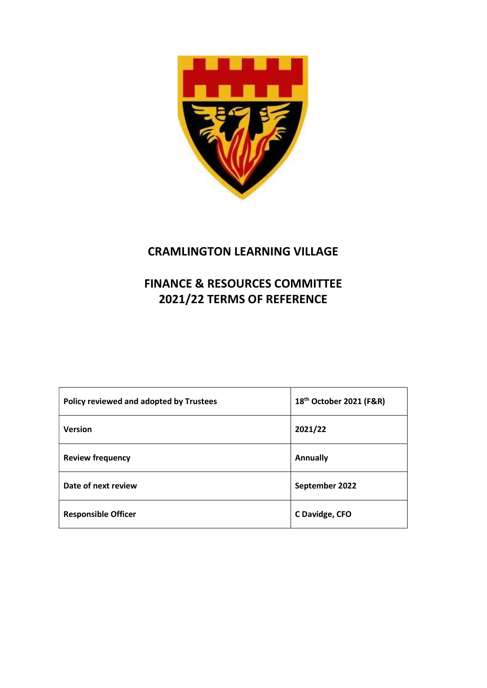

# CRAMLINGTON LEARNING VILLAGE

# FINANCE & RESOURCES COMMITTEE 2021/22 TERMS OF REFERENCE

| Policy reviewed and adopted by Trustees | 18 <sup>th</sup> October 2021 (F&R) |
|-----------------------------------------|-------------------------------------|
| <b>Version</b>                          | 2021/22                             |
| <b>Review frequency</b>                 | <b>Annually</b>                     |
| Date of next review                     | September 2022                      |
| <b>Responsible Officer</b>              | C Davidge, CFO                      |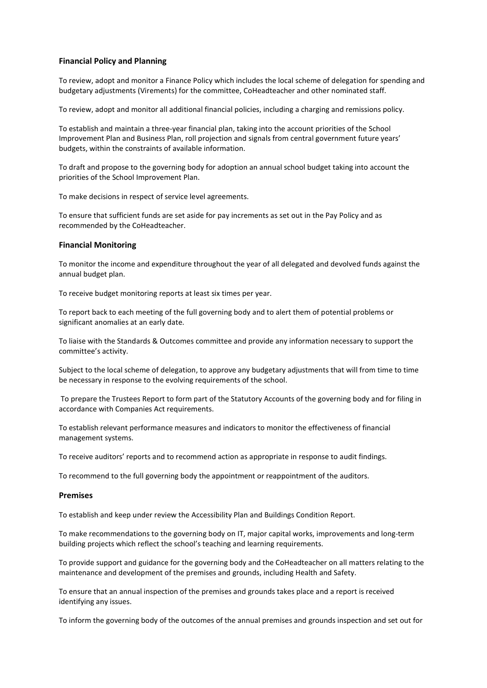## Financial Policy and Planning

To review, adopt and monitor a Finance Policy which includes the local scheme of delegation for spending and budgetary adjustments (Virements) for the committee, CoHeadteacher and other nominated staff.

To review, adopt and monitor all additional financial policies, including a charging and remissions policy.

To establish and maintain a three-year financial plan, taking into the account priorities of the School Improvement Plan and Business Plan, roll projection and signals from central government future years' budgets, within the constraints of available information.

To draft and propose to the governing body for adoption an annual school budget taking into account the priorities of the School Improvement Plan.

To make decisions in respect of service level agreements.

To ensure that sufficient funds are set aside for pay increments as set out in the Pay Policy and as recommended by the CoHeadteacher.

### Financial Monitoring

To monitor the income and expenditure throughout the year of all delegated and devolved funds against the annual budget plan.

To receive budget monitoring reports at least six times per year.

To report back to each meeting of the full governing body and to alert them of potential problems or significant anomalies at an early date.

To liaise with the Standards & Outcomes committee and provide any information necessary to support the committee's activity.

Subject to the local scheme of delegation, to approve any budgetary adjustments that will from time to time be necessary in response to the evolving requirements of the school.

 To prepare the Trustees Report to form part of the Statutory Accounts of the governing body and for filing in accordance with Companies Act requirements.

To establish relevant performance measures and indicators to monitor the effectiveness of financial management systems.

To receive auditors' reports and to recommend action as appropriate in response to audit findings.

To recommend to the full governing body the appointment or reappointment of the auditors.

#### Premises

To establish and keep under review the Accessibility Plan and Buildings Condition Report.

To make recommendations to the governing body on IT, major capital works, improvements and long-term building projects which reflect the school's teaching and learning requirements.

To provide support and guidance for the governing body and the CoHeadteacher on all matters relating to the maintenance and development of the premises and grounds, including Health and Safety.

To ensure that an annual inspection of the premises and grounds takes place and a report is received identifying any issues.

To inform the governing body of the outcomes of the annual premises and grounds inspection and set out for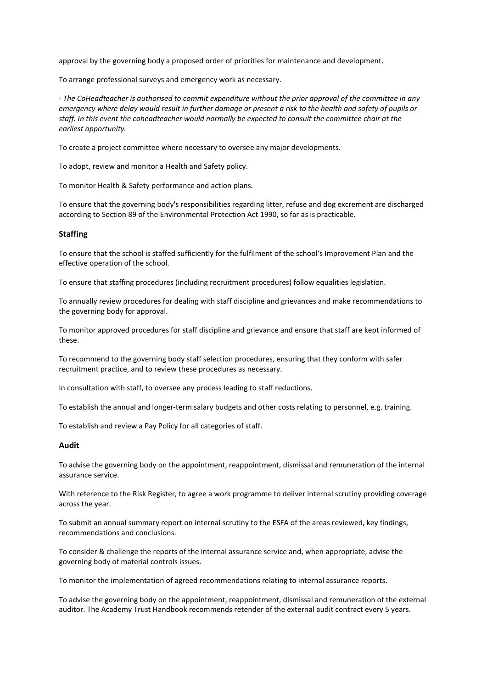approval by the governing body a proposed order of priorities for maintenance and development.

To arrange professional surveys and emergency work as necessary.

- The CoHeadteacher is authorised to commit expenditure without the prior approval of the committee in any emergency where delay would result in further damage or present a risk to the health and safety of pupils or staff. In this event the coheadteacher would normally be expected to consult the committee chair at the earliest opportunity.

To create a project committee where necessary to oversee any major developments.

To adopt, review and monitor a Health and Safety policy.

To monitor Health & Safety performance and action plans.

To ensure that the governing body's responsibilities regarding litter, refuse and dog excrement are discharged according to Section 89 of the Environmental Protection Act 1990, so far as is practicable.

#### **Staffing**

To ensure that the school is staffed sufficiently for the fulfilment of the school's Improvement Plan and the effective operation of the school.

To ensure that staffing procedures (including recruitment procedures) follow equalities legislation.

To annually review procedures for dealing with staff discipline and grievances and make recommendations to the governing body for approval.

To monitor approved procedures for staff discipline and grievance and ensure that staff are kept informed of these.

To recommend to the governing body staff selection procedures, ensuring that they conform with safer recruitment practice, and to review these procedures as necessary.

In consultation with staff, to oversee any process leading to staff reductions.

To establish the annual and longer-term salary budgets and other costs relating to personnel, e.g. training.

To establish and review a Pay Policy for all categories of staff.

## Audit

To advise the governing body on the appointment, reappointment, dismissal and remuneration of the internal assurance service.

With reference to the Risk Register, to agree a work programme to deliver internal scrutiny providing coverage across the year.

To submit an annual summary report on internal scrutiny to the ESFA of the areas reviewed, key findings, recommendations and conclusions.

To consider & challenge the reports of the internal assurance service and, when appropriate, advise the governing body of material controls issues.

To monitor the implementation of agreed recommendations relating to internal assurance reports.

To advise the governing body on the appointment, reappointment, dismissal and remuneration of the external auditor. The Academy Trust Handbook recommends retender of the external audit contract every 5 years.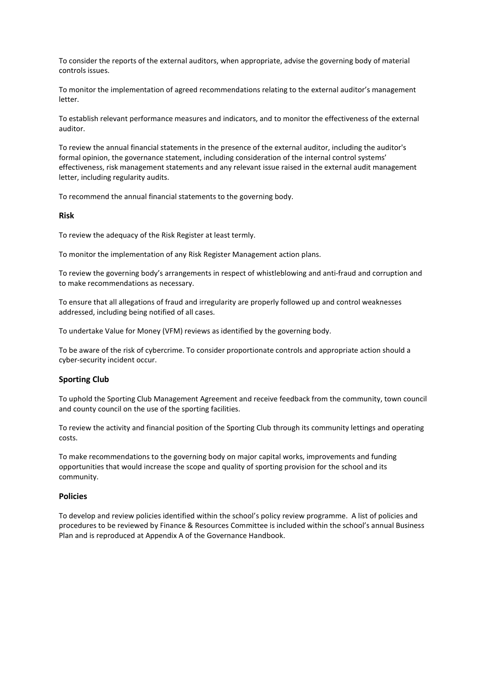To consider the reports of the external auditors, when appropriate, advise the governing body of material controls issues.

To monitor the implementation of agreed recommendations relating to the external auditor's management letter.

To establish relevant performance measures and indicators, and to monitor the effectiveness of the external auditor.

To review the annual financial statements in the presence of the external auditor, including the auditor's formal opinion, the governance statement, including consideration of the internal control systems' effectiveness, risk management statements and any relevant issue raised in the external audit management letter, including regularity audits.

To recommend the annual financial statements to the governing body.

## Risk

To review the adequacy of the Risk Register at least termly.

To monitor the implementation of any Risk Register Management action plans.

To review the governing body's arrangements in respect of whistleblowing and anti-fraud and corruption and to make recommendations as necessary.

To ensure that all allegations of fraud and irregularity are properly followed up and control weaknesses addressed, including being notified of all cases.

To undertake Value for Money (VFM) reviews as identified by the governing body.

To be aware of the risk of cybercrime. To consider proportionate controls and appropriate action should a cyber-security incident occur.

## Sporting Club

To uphold the Sporting Club Management Agreement and receive feedback from the community, town council and county council on the use of the sporting facilities.

To review the activity and financial position of the Sporting Club through its community lettings and operating costs.

To make recommendations to the governing body on major capital works, improvements and funding opportunities that would increase the scope and quality of sporting provision for the school and its community.

### Policies

To develop and review policies identified within the school's policy review programme. A list of policies and procedures to be reviewed by Finance & Resources Committee is included within the school's annual Business Plan and is reproduced at Appendix A of the Governance Handbook.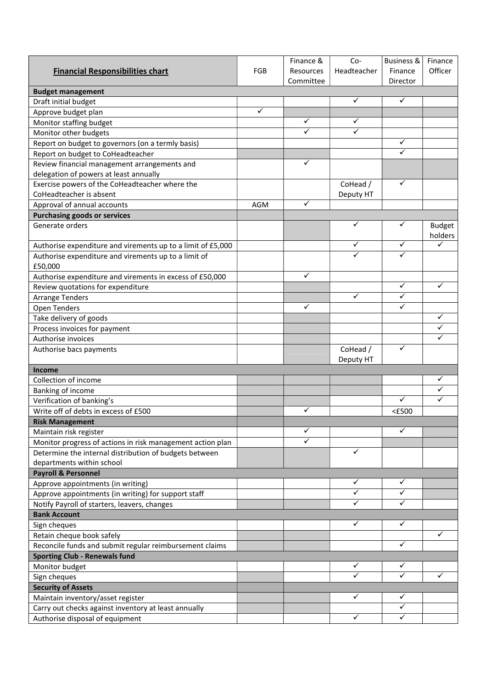|                                                             |            | Finance &    | Co-                   | <b>Business &amp;</b> | Finance       |
|-------------------------------------------------------------|------------|--------------|-----------------------|-----------------------|---------------|
| <b>Financial Responsibilities chart</b>                     | <b>FGB</b> | Resources    | Headteacher           | Finance               | Officer       |
|                                                             |            | Committee    |                       | Director              |               |
| <b>Budget management</b>                                    |            |              |                       |                       |               |
| Draft initial budget                                        |            |              | ✓                     | ✓                     |               |
| Approve budget plan                                         | ✓          |              |                       |                       |               |
| Monitor staffing budget                                     |            | $\checkmark$ | ✓                     |                       |               |
| Monitor other budgets                                       |            | $\checkmark$ | $\checkmark$          |                       |               |
| Report on budget to governors (on a termly basis)           |            |              |                       | ✓                     |               |
| Report on budget to CoHeadteacher                           |            |              |                       | $\checkmark$          |               |
| Review financial management arrangements and                |            | $\checkmark$ |                       |                       |               |
| delegation of powers at least annually                      |            |              |                       |                       |               |
| Exercise powers of the CoHeadteacher where the              |            |              | CoHead /              | ✓                     |               |
| CoHeadteacher is absent                                     |            |              | Deputy HT             |                       |               |
| Approval of annual accounts                                 | <b>AGM</b> | ✓            |                       |                       |               |
| <b>Purchasing goods or services</b>                         |            |              |                       |                       |               |
| Generate orders                                             |            |              | ✓                     | ✓                     | <b>Budget</b> |
| Authorise expenditure and virements up to a limit of £5,000 |            |              | ✓                     | ✓                     | holders<br>✓  |
| Authorise expenditure and virements up to a limit of        |            |              |                       | ✓                     |               |
| £50,000                                                     |            |              |                       |                       |               |
| Authorise expenditure and virements in excess of £50,000    |            | $\checkmark$ |                       |                       |               |
| Review quotations for expenditure                           |            |              |                       | ✓                     | ✓             |
| <b>Arrange Tenders</b>                                      |            |              | ✓                     | ✓                     |               |
| Open Tenders                                                |            | ✓            |                       | ✓                     |               |
| Take delivery of goods                                      |            |              |                       |                       | ✓             |
| Process invoices for payment                                |            |              |                       |                       | ✓             |
| Authorise invoices                                          |            |              |                       |                       | $\checkmark$  |
| Authorise bacs payments                                     |            |              | CoHead /<br>Deputy HT | ✓                     |               |
| <b>Income</b>                                               |            |              |                       |                       |               |
| Collection of income                                        |            |              |                       |                       | ✓             |
| Banking of income                                           |            |              |                       |                       | ✓             |
| Verification of banking's                                   |            |              |                       | ✓                     | ✓             |
| Write off of debts in excess of £500                        |            | ✓            |                       | $<$ £500              |               |
| <b>Risk Management</b>                                      |            |              |                       |                       |               |
| Maintain risk register                                      |            | $\checkmark$ |                       | ✓                     |               |
| Monitor progress of actions in risk management action plan  |            | ✓            |                       |                       |               |
| Determine the internal distribution of budgets between      |            |              | ✓                     |                       |               |
| departments within school                                   |            |              |                       |                       |               |
| <b>Payroll &amp; Personnel</b>                              |            |              |                       |                       |               |
| Approve appointments (in writing)                           |            |              | ✓                     | ✓                     |               |
| Approve appointments (in writing) for support staff         |            |              | ✓                     | ✓                     |               |
| Notify Payroll of starters, leavers, changes                |            |              | ✓                     | ✓                     |               |
| <b>Bank Account</b>                                         |            |              |                       |                       |               |
| Sign cheques                                                |            |              | $\checkmark$          | ✓                     |               |
| Retain cheque book safely                                   |            |              |                       |                       | $\checkmark$  |
| Reconcile funds and submit regular reimbursement claims     |            |              |                       | ✓                     |               |
| <b>Sporting Club - Renewals fund</b>                        |            |              |                       |                       |               |
| Monitor budget                                              |            |              | ✓                     | ✓                     |               |
| Sign cheques                                                |            |              |                       | ✓                     | ✓             |
| <b>Security of Assets</b>                                   |            |              |                       |                       |               |
| Maintain inventory/asset register                           |            |              | ✓                     | ✓                     |               |
| Carry out checks against inventory at least annually        |            |              |                       | ✓                     |               |
| Authorise disposal of equipment                             |            |              | ✓                     | ✓                     |               |